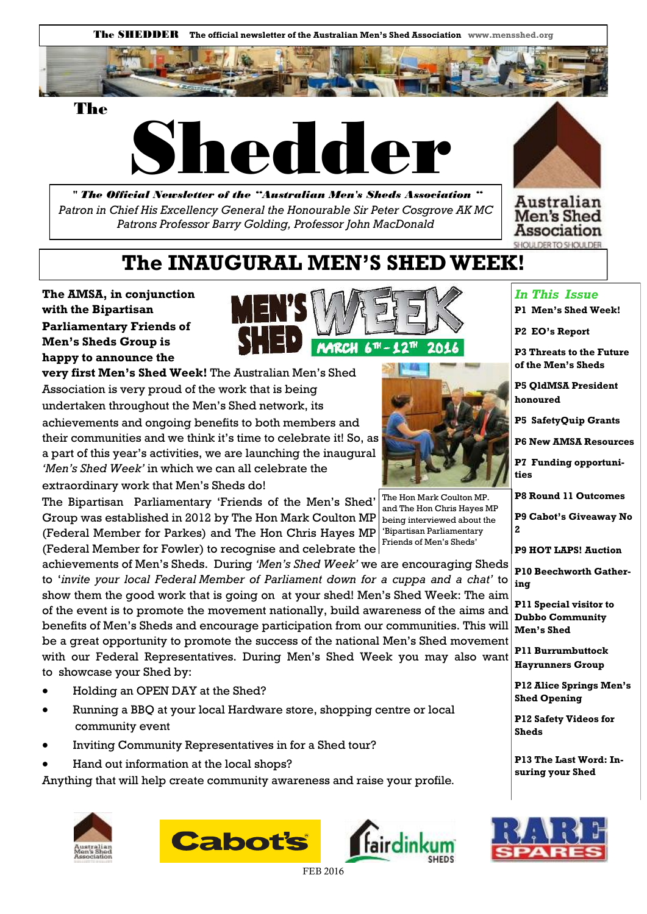



 *" The Official Newsletter of the "Australian Men's Sheds Association " Patron in Chief His Excellency General the Honourable Sir Peter Cosgrove AK MC Patrons Professor Barry Golding, Professor John MacDonald* 





## **The INAUGURAL MEN'S SHED WEEK!**

**The AMSA, in conjunction with the Bipartisan Parliamentary Friends of Men's Sheds Group is happy to announce the** 



**very first Men's Shed Week!** The Australian Men's Shed Association is very proud of the work that is being undertaken throughout the Men's Shed network, its

achievements and ongoing benefits to both members and their communities and we think it's time to celebrate it! So, as a part of this year's activities, we are launching the inaugural *'Men's Shed Week'* in which we can all celebrate the

extraordinary work that Men's Sheds do!

The Bipartisan Parliamentary 'Friends of the Men's Shed' Group was established in 2012 by The Hon Mark Coulton MP (Federal Member for Parkes) and The Hon Chris Hayes MP (Federal Member for Fowler) to recognise and celebrate the

achievements of Men's Sheds. During *'Men's Shed Week'* we are encouraging Sheds to '*invite your local Federal Member of Parliament down for a cuppa and a chat'* to show them the good work that is going on at your shed! Men's Shed Week: The aim of the event is to promote the movement nationally, build awareness of the aims and benefits of Men's Sheds and encourage participation from our communities. This will be a great opportunity to promote the success of the national Men's Shed movement with our Federal Representatives. During Men's Shed Week you may also want to showcase your Shed by:

- Holding an OPEN DAY at the Shed?
- Running a BBQ at your local Hardware store, shopping centre or local community event
- Inviting Community Representatives in for a Shed tour?
- Hand out information at the local shops?

Anything that will help create community awareness and raise your profile.







#### *In This Issue*

- **P1 Men's Shed Week!**
- **P2 EO's Report**

**P3 Threats to the Future of the Men's Sheds** 

**P5 QldMSA President honoured** 

**P5 SafetyQuip Grants** 

**P6 New AMSA Resources** 

**P7 Funding opportunities** 

**P8 Round 11 Outcomes** 

**P9 Cabot's Giveaway No 2** 

**P9 HOT LAPS! Auction** 

**P10 Beechworth Gathering** 

**P11 Special visitor to Dubbo Community Men's Shed**

**P11 Burrumbuttock Hayrunners Group** 

**P12 Alice Springs Men's Shed Opening** 

**P12 Safety Videos for Sheds** 

**P13 The Last Word: Insuring your Shed** 



FEB 2016



and The Hon Chris Hayes MP being interviewed about the 'Bipartisan Parliamentary Friends of Men's Sheds'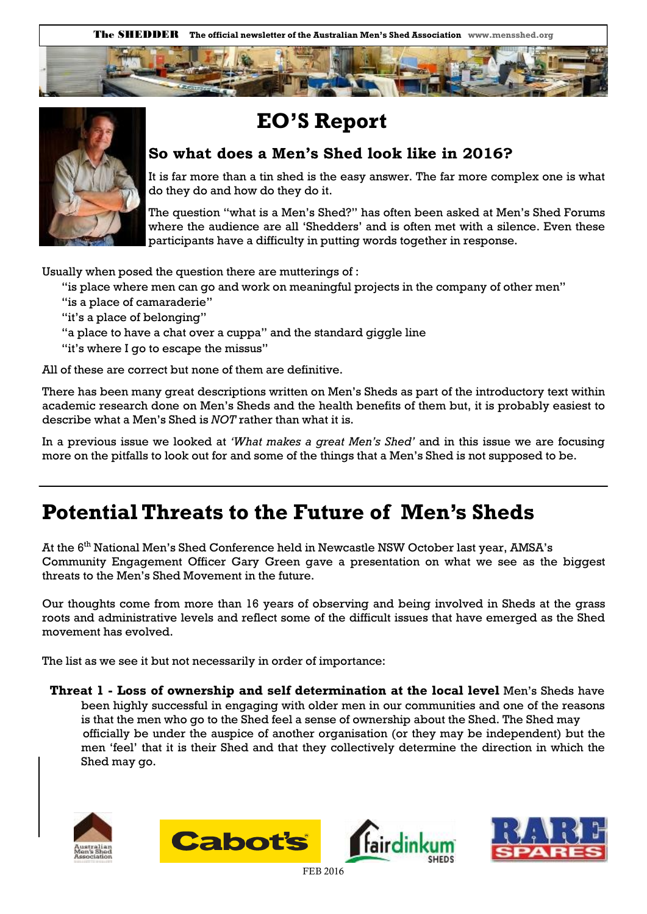



## **EO'S Report**

### **So what does a Men's Shed look like in 2016?**

It is far more than a tin shed is the easy answer. The far more complex one is what do they do and how do they do it.

The question "what is a Men's Shed?" has often been asked at Men's Shed Forums where the audience are all 'Shedders' and is often met with a silence. Even these participants have a difficulty in putting words together in response.

Usually when posed the question there are mutterings of :

"is place where men can go and work on meaningful projects in the company of other men"

- "is a place of camaraderie"
- "it's a place of belonging"
- "a place to have a chat over a cuppa" and the standard giggle line
- "it's where I go to escape the missus"

All of these are correct but none of them are definitive.

There has been many great descriptions written on Men's Sheds as part of the introductory text within academic research done on Men's Sheds and the health benefits of them but, it is probably easiest to describe what a Men's Shed is *NOT* rather than what it is.

In a previous issue we looked at *'What makes a great Men's Shed'* and in this issue we are focusing more on the pitfalls to look out for and some of the things that a Men's Shed is not supposed to be.

## **Potential Threats to the Future of Men's Sheds**

At the 6<sup>th</sup> National Men's Shed Conference held in Newcastle NSW October last year, AMSA's Community Engagement Officer Gary Green gave a presentation on what we see as the biggest threats to the Men's Shed Movement in the future.

Our thoughts come from more than 16 years of observing and being involved in Sheds at the grass roots and administrative levels and reflect some of the difficult issues that have emerged as the Shed movement has evolved.

The list as we see it but not necessarily in order of importance:

**Threat 1 - Loss of ownership and self determination at the local level** Men's Sheds have been highly successful in engaging with older men in our communities and one of the reasons is that the men who go to the Shed feel a sense of ownership about the Shed. The Shed may officially be under the auspice of another organisation (or they may be independent) but the men 'feel' that it is their Shed and that they collectively determine the direction in which the Shed may go.







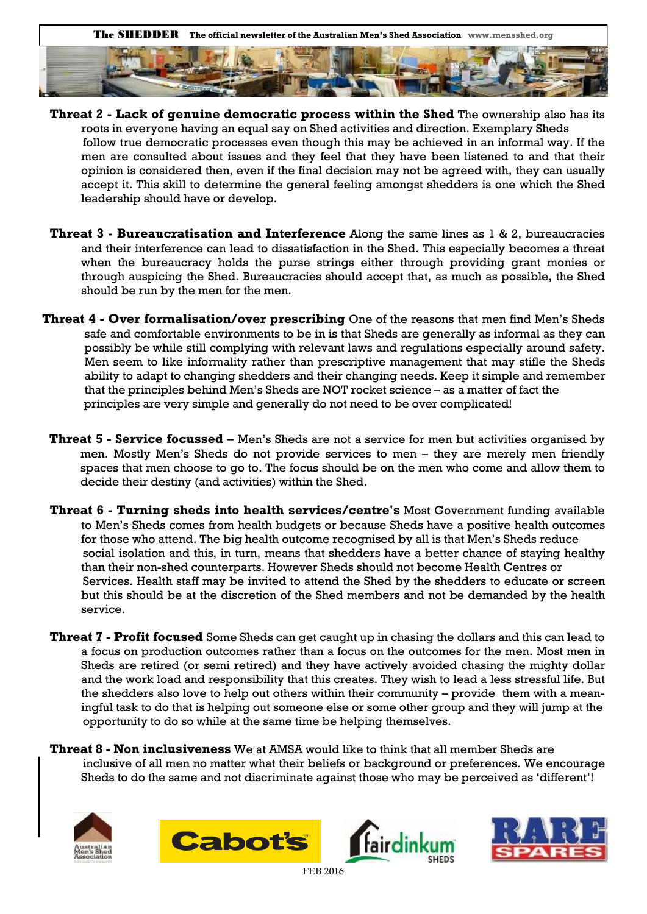

- **Threat 2 Lack of genuine democratic process within the Shed** The ownership also has its roots in everyone having an equal say on Shed activities and direction. Exemplary Sheds follow true democratic processes even though this may be achieved in an informal way. If the men are consulted about issues and they feel that they have been listened to and that their opinion is considered then, even if the final decision may not be agreed with, they can usually accept it. This skill to determine the general feeling amongst shedders is one which the Shed leadership should have or develop.
- **Threat 3 Bureaucratisation and Interference** Along the same lines as 1 & 2, bureaucracies and their interference can lead to dissatisfaction in the Shed. This especially becomes a threat when the bureaucracy holds the purse strings either through providing grant monies or through auspicing the Shed. Bureaucracies should accept that, as much as possible, the Shed should be run by the men for the men.
- **Threat 4 Over formalisation/over prescribing** One of the reasons that men find Men's Sheds safe and comfortable environments to be in is that Sheds are generally as informal as they can possibly be while still complying with relevant laws and regulations especially around safety. Men seem to like informality rather than prescriptive management that may stifle the Sheds ability to adapt to changing shedders and their changing needs. Keep it simple and remember that the principles behind Men's Sheds are NOT rocket science – as a matter of fact the principles are very simple and generally do not need to be over complicated!
- **Threat 5 Service focussed**  Men's Sheds are not a service for men but activities organised by men. Mostly Men's Sheds do not provide services to men – they are merely men friendly spaces that men choose to go to. The focus should be on the men who come and allow them to decide their destiny (and activities) within the Shed.
- **Threat 6 Turning sheds into health services/centre's** Most Government funding available to Men's Sheds comes from health budgets or because Sheds have a positive health outcomes for those who attend. The big health outcome recognised by all is that Men's Sheds reduce social isolation and this, in turn, means that shedders have a better chance of staying healthy than their non-shed counterparts. However Sheds should not become Health Centres or Services. Health staff may be invited to attend the Shed by the shedders to educate or screen but this should be at the discretion of the Shed members and not be demanded by the health service.
- **Threat 7 Profit focused** Some Sheds can get caught up in chasing the dollars and this can lead to a focus on production outcomes rather than a focus on the outcomes for the men. Most men in Sheds are retired (or semi retired) and they have actively avoided chasing the mighty dollar and the work load and responsibility that this creates. They wish to lead a less stressful life. But the shedders also love to help out others within their community – provide them with a meaningful task to do that is helping out someone else or some other group and they will jump at the opportunity to do so while at the same time be helping themselves.
- **Threat 8 Non inclusiveness** We at AMSA would like to think that all member Sheds are inclusive of all men no matter what their beliefs or background or preferences. We encourage Sheds to do the same and not discriminate against those who may be perceived as 'different'!







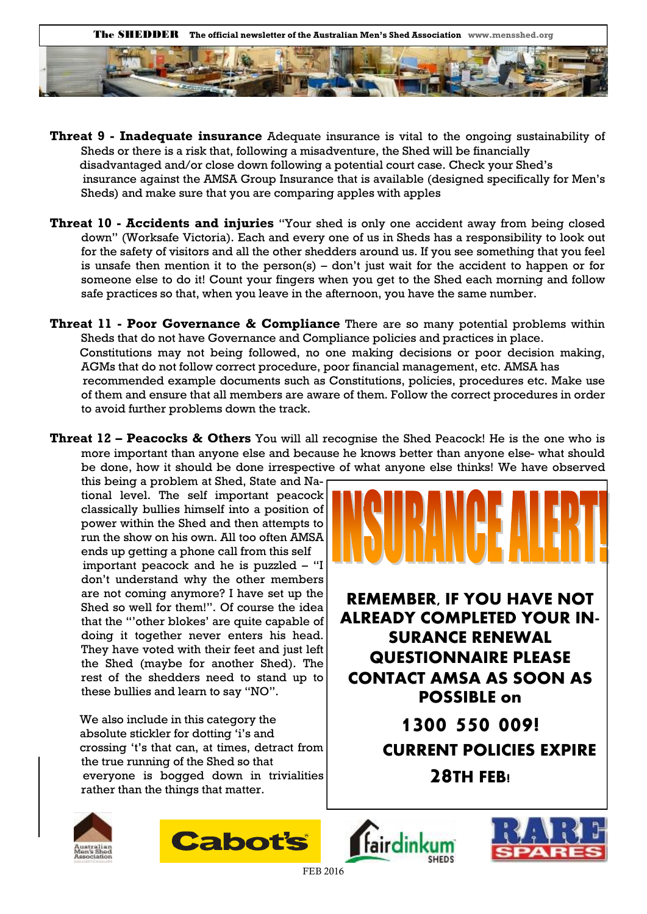

- **Threat 9 Inadequate insurance** Adequate insurance is vital to the ongoing sustainability of Sheds or there is a risk that, following a misadventure, the Shed will be financially disadvantaged and/or close down following a potential court case. Check your Shed's insurance against the AMSA Group Insurance that is available (designed specifically for Men's Sheds) and make sure that you are comparing apples with apples
- **Threat 10 Accidents and injuries** "Your shed is only one accident away from being closed down" (Worksafe Victoria). Each and every one of us in Sheds has a responsibility to look out for the safety of visitors and all the other shedders around us. If you see something that you feel is unsafe then mention it to the person(s) – don't just wait for the accident to happen or for someone else to do it! Count your fingers when you get to the Shed each morning and follow safe practices so that, when you leave in the afternoon, you have the same number.
- **Threat 11 Poor Governance & Compliance** There are so many potential problems within Sheds that do not have Governance and Compliance policies and practices in place. Constitutions may not being followed, no one making decisions or poor decision making, AGMs that do not follow correct procedure, poor financial management, etc. AMSA has recommended example documents such as Constitutions, policies, procedures etc. Make use of them and ensure that all members are aware of them. Follow the correct procedures in order to avoid further problems down the track.
- **Threat 12 – Peacocks & Others** You will all recognise the Shed Peacock! He is the one who is more important than anyone else and because he knows better than anyone else- what should be done, how it should be done irrespective of what anyone else thinks! We have observed

this being a problem at Shed, State and National level. The self important peacock classically bullies himself into a position of power within the Shed and then attempts to run the show on his own. All too often AMSA ends up getting a phone call from this self important peacock and he is puzzled – "I don't understand why the other members are not coming anymore? I have set up the Shed so well for them!". Of course the idea that the "'other blokes' are quite capable of doing it together never enters his head. They have voted with their feet and just left the Shed (maybe for another Shed). The rest of the shedders need to stand up to these bullies and learn to say "NO".

 We also include in this category the absolute stickler for dotting 'i's and crossing 't's that can, at times, detract from the true running of the Shed so that everyone is bogged down in trivialities rather than the things that matter.



**REMEMBER, IF YOU HAVE NOT ALREADY COMPLETED YOUR IN-SURANCE RENEWAL QUESTIONNAIRE PLEASE CONTACT AMSA AS SOON AS POSSIBLE on** 

> **1300 550 009! CURRENT POLICIES EXPIRE 28TH FEB!**







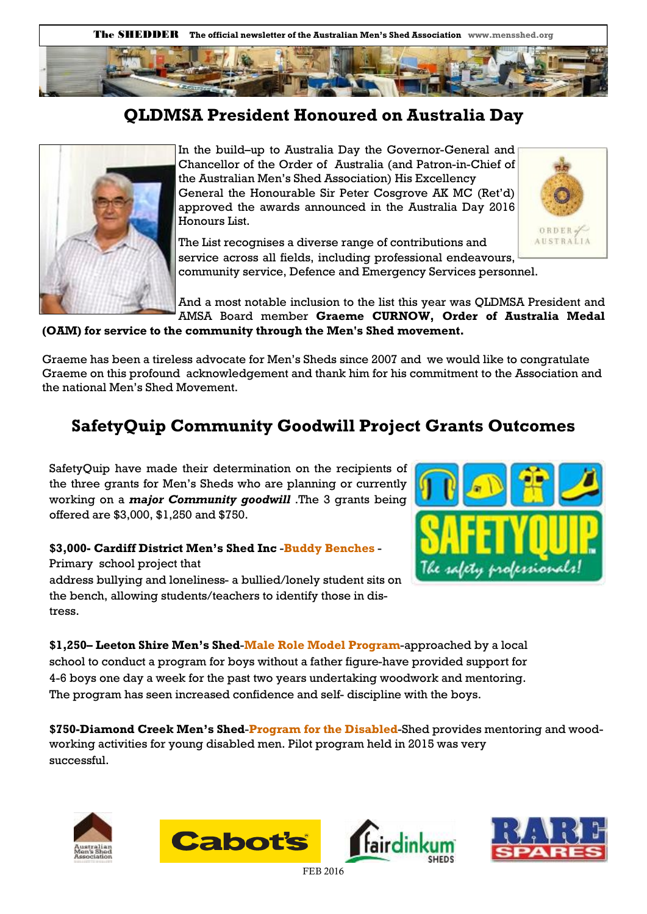

### **QLDMSA President Honoured on Australia Day**



In the build–up to Australia Day the Governor-General and Chancellor of the Order of Australia (and Patron-in-Chief of the Australian Men's Shed Association) His Excellency General the Honourable Sir Peter Cosgrove AK MC (Ret'd) approved the awards announced in the Australia Day 2016 Honours List.

The List recognises a diverse range of contributions and service across all fields, including professional endeavours, community service, Defence and Emergency Services personnel.



**(OAM) for service to the community through the Men's Shed movement.**

Graeme has been a tireless advocate for Men's Sheds since 2007 and we would like to congratulate Graeme on this profound acknowledgement and thank him for his commitment to the Association and the national Men's Shed Movement.

### **SafetyQuip Community Goodwill Project Grants Outcomes**

SafetyQuip have made their determination on the recipients of the three grants for Men's Sheds who are planning or currently working on a *major Community goodwill* .The 3 grants being offered are \$3,000, \$1,250 and \$750.

#### **\$3,000- Cardiff District Men's Shed Inc** -**Buddy Benches** - Primary school project that

address bullying and loneliness- a bullied/lonely student sits on the bench, allowing students/teachers to identify those in distress.



ORDER **AUSTRALIA** 

**\$1,250– Leeton Shire Men's Shed**-**Male Role Model Program**-approached by a local school to conduct a program for boys without a father figure-have provided support for 4-6 boys one day a week for the past two years undertaking woodwork and mentoring. The program has seen increased confidence and self- discipline with the boys.

**\$750-Diamond Creek Men's Shed**-**Program for the Disabled**-Shed provides mentoring and woodworking activities for young disabled men. Pilot program held in 2015 was very successful.







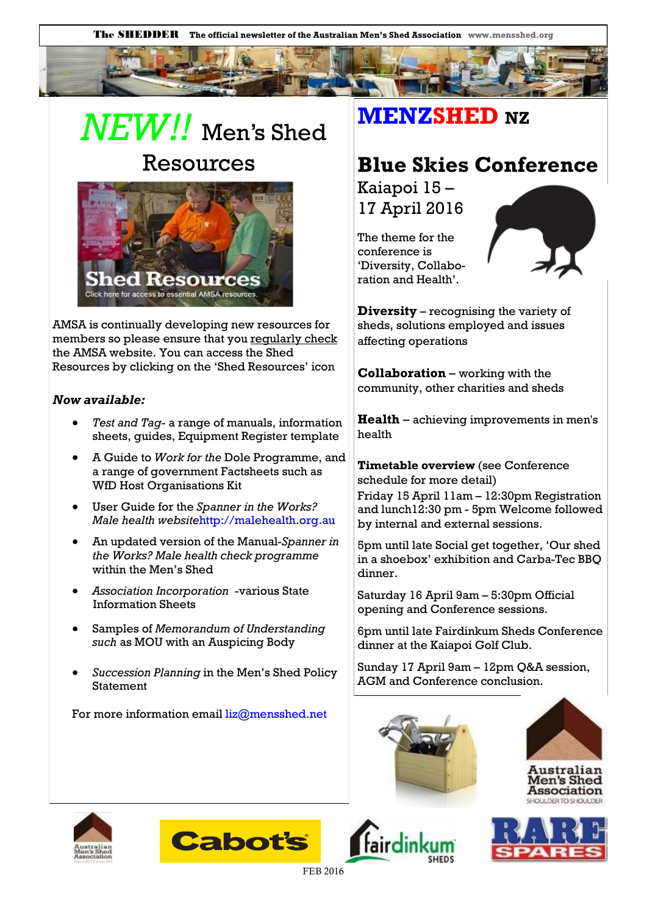# *NEW!!* Men's Shed Resources



AMSA is continually developing new resources for members so please ensure that you regularly check the AMSA website. You can access the Shed Resources by clicking on the 'Shed Resources' icon

#### *Now available:*

- *Test and Tag* a range of manuals, information sheets, guides, Equipment Register template
- A Guide to *Work for the* Dole Programme, and a range of government Factsheets such as WfD Host Organisations Kit
- User Guide for the *Spanner in the Works? Male health website*http://malehealth.org.au
- An updated version of the Manual-*Spanner in the Works? Male health check programme* within the Men's Shed
- *Association Incorporation* -various State Information Sheets
- Samples of *Memorandum of Understanding such* as MOU with an Auspicing Body
- *Succession Planning* in the Men's Shed Policy Statement

For more information email  $liz@$ mensshed.net

## **MENZSHED NZ**

## **Blue Skies Conference**

Kaiapoi 15 – 17 April 2016

The theme for the conference is 'Diversity, Collaboration and Health'.



**Diversity** – recognising the variety of sheds, solutions employed and issues affecting operations

**Collaboration** – working with the community, other charities and sheds

**Health** – achieving improvements in men's health

**Timetable overview** (see Conference schedule for more detail) Friday 15 April 11am – 12:30pm Registration and lunch12:30 pm - 5pm Welcome followed by internal and external sessions.

5pm until late Social get together, 'Our shed in a shoebox' exhibition and Carba-Tec BBQ dinner.

Saturday 16 April 9am – 5:30pm Official opening and Conference sessions.

6pm until late Fairdinkum Sheds Conference dinner at the Kaiapoi Golf Club.

Sunday 17 April 9am – 12pm Q&A session, AGM and Conference conclusion.













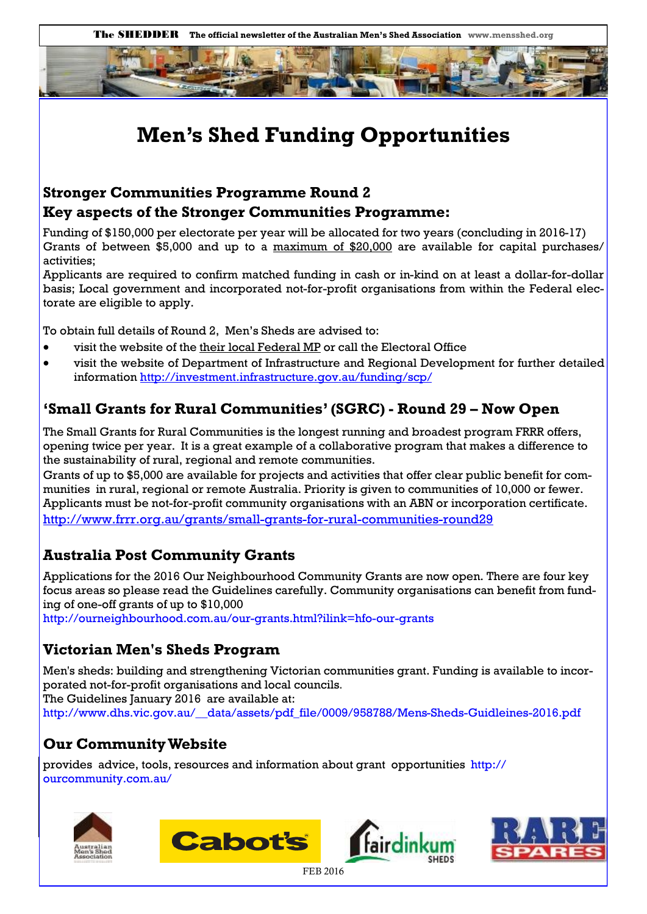

## **Men's Shed Funding Opportunities**

### **Stronger Communities Programme Round 2 Key aspects of the Stronger Communities Programme:**

Funding of \$150,000 per electorate per year will be allocated for two years (concluding in 2016-17) Grants of between \$5,000 and up to a maximum of \$20,000 are available for capital purchases/ activities;

Applicants are required to confirm matched funding in cash or in-kind on at least a dollar-for-dollar basis; Local government and incorporated not-for-profit organisations from within the Federal electorate are eligible to apply.

To obtain full details of Round 2, Men's Sheds are advised to:

- visit the website of the their local Federal MP or call the Electoral Office
- visit the website of Department of Infrastructure and Regional Development for further detailed information <http://investment.infrastructure.gov.au/funding/scp/>

### **'Small Grants for Rural Communities' (SGRC) - Round 29 – Now Open**

The Small Grants for Rural Communities is the longest running and broadest program FRRR offers, opening twice per year. It is a great example of a collaborative program that makes a difference to the sustainability of rural, regional and remote communities.

Grants of up to \$5,000 are available for projects and activities that offer clear public benefit for communities in rural, regional or remote Australia. Priority is given to communities of 10,000 or fewer. Applicants must be not-for-profit community organisations with an ABN or incorporation certificate. <http://www.frrr.org.au/grants/small-grants-for-rural-communities-round29>

### **Australia Post Community Grants**

Applications for the 2016 Our Neighbourhood Community Grants are now open. There are four key focus areas so please read the Guidelines carefully. Community organisations can benefit from funding of one-off grants of up to \$10,000

http://ourneighbourhood.com.au/our-grants.html?ilink=hfo-our-grants

### **Victorian Men's Sheds Program**

Men's sheds: building and strengthening Victorian communities grant. Funding is available to incorporated not-for-profit organisations and local councils. The Guidelines January 2016 are available at: http://www.dhs.vic.gov.au/\_\_data/assets/pdf\_file/0009/958788/Mens-Sheds-Guidleines-2016.pdf

### **Our Community Website**

provides advice, tools, resources and information about grant opportunities http:// ourcommunity.com.au/







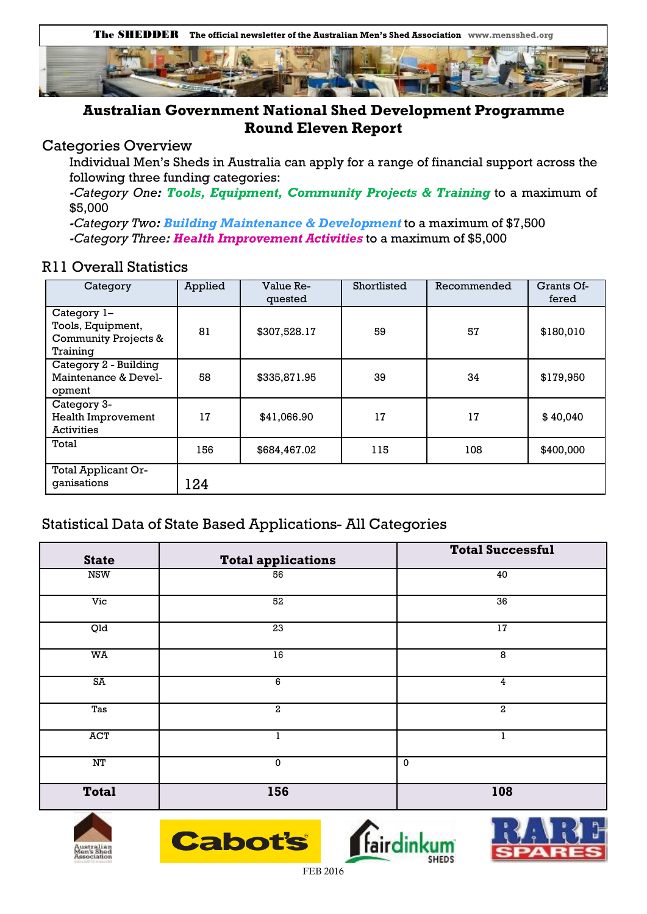

### **Australian Government National Shed Development Programme Round Eleven Report**

### Categories Overview

Individual Men's Sheds in Australia can apply for a range of financial support across the following three funding categories:

*-Category One: Tools, Equipment, Community Projects & Training* to a maximum of \$5,000

*-Category Two: Building Maintenance & Development* to a maximum of \$7,500 *-Category Three: Health Improvement Activities* to a maximum of \$5,000

### R11 Overall Statistics

| Category                                                                        | Applied | Value Re-<br>quested | Shortlisted | Recommended | Grants Of-<br>fered |
|---------------------------------------------------------------------------------|---------|----------------------|-------------|-------------|---------------------|
| Category 1-<br>Tools, Equipment,<br><b>Community Projects &amp;</b><br>Training | 81      | \$307,528.17         | 59          | 57          | \$180,010           |
| Category 2 - Building<br>Maintenance & Devel-<br>opment                         | 58      | \$335,871.95         | 39          | 34          | \$179,950           |
| Category 3-<br><b>Health Improvement</b><br><b>Activities</b>                   | 17      | \$41,066.90          | 17          | 17          | \$40,040            |
| Total                                                                           | 156     | \$684,467.02         | 115         | 108         | \$400,000           |
| Total Applicant Or-<br>ganisations                                              | 124     |                      |             |             |                     |

### Statistical Data of State Based Applications- All Categories

| <b>State</b>             | <b>Total applications</b> | <b>Total Successful</b> |  |
|--------------------------|---------------------------|-------------------------|--|
| <b>NSW</b>               | 56                        | 40                      |  |
| Vic                      | 52                        | 36                      |  |
| Qld                      | $\overline{23}$           | $17\,$                  |  |
| WA                       | 16                        | 8                       |  |
| SA                       | 6                         | 4                       |  |
| Tas                      | $\overline{a}$            | 2                       |  |
| <b>ACT</b>               | 1                         | 1                       |  |
| $\ensuremath{\text{NT}}$ | $\mathbf 0$               | 0                       |  |
| <b>Total</b>             | 156                       | 108                     |  |







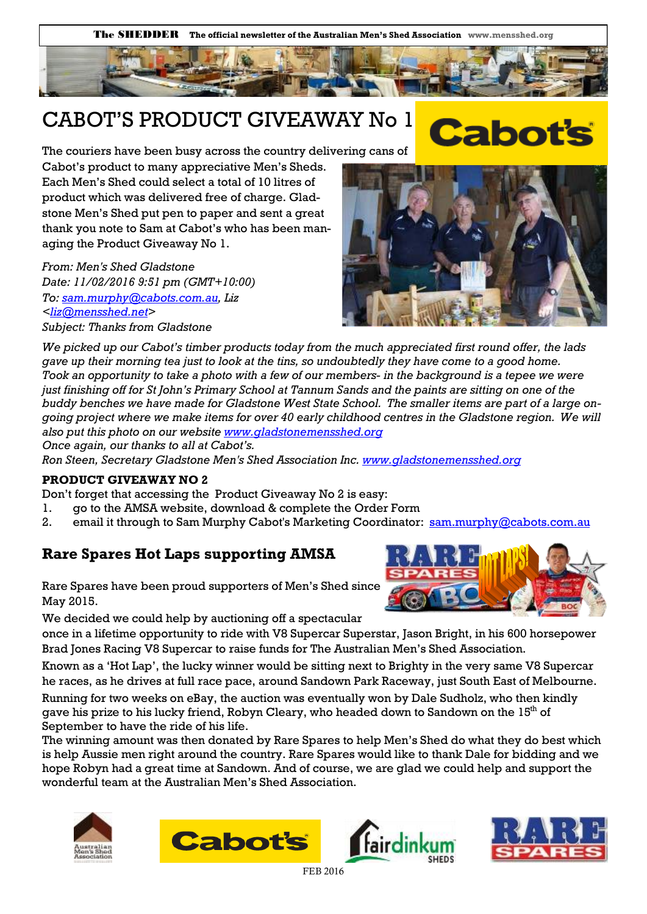## CABOT'S PRODUCT GIVEAWAY No 1

The couriers have been busy across the country delivering cans of

Cabot's product to many appreciative Men's Sheds. Each Men's Shed could select a total of 10 litres of product which was delivered free of charge. Gladstone Men's Shed put pen to paper and sent a great thank you note to Sam at Cabot's who has been managing the Product Giveaway No 1.

*From: Men's Shed Gladstone Date: 11/02/2016 9:51 pm (GMT+10:00) To: [sam.murphy@cabots.com.au,](mailto:sam.murphy@cabots.com.au) Liz [<liz@mensshed.net>](mailto:liz@mensshed.net) Subject: Thanks from Gladstone* 



**Cabot** 

*We picked up our Cabot's timber products today from the much appreciated first round offer, the lads gave up their morning tea just to look at the tins, so undoubtedly they have come to a good home. Took an opportunity to take a photo with a few of our members- in the background is a tepee we were just finishing off for St John's Primary School at Tannum Sands and the paints are sitting on one of the buddy benches we have made for Gladstone West State School. The smaller items are part of a large ongoing project where we make items for over 40 early childhood centres in the Gladstone region. We will also put this photo on our website [www.gladstonemensshed.org](http://www.gladstonemensshed.org)*

*Once again, our thanks to all at Cabot's.*

*Ron Steen, Secretary Gladstone Men's Shed Association Inc. [www.gladstonemensshed.org](http://www.gladstonemensshed.org)*

#### **PRODUCT GIVEAWAY NO 2**

Don't forget that accessing the Product Giveaway No 2 is easy:

- 1. go to the AMSA website, download & complete the Order Form
- 2. email it through to Sam Murphy Cabot's Marketing Coordinator: [sam.murphy@cabots.com.au](mailto:sam.murphy@cabots.com.au)

### **Rare Spares Hot Laps supporting AMSA**

Rare Spares have been proud supporters of Men's Shed since May 2015.

We decided we could help by auctioning off a spectacular

once in a lifetime opportunity to ride with V8 Supercar Superstar, Jason Bright, in his 600 horsepower Brad Jones Racing V8 Supercar to raise funds for The Australian Men's Shed Association.

Known as a 'Hot Lap', the lucky winner would be sitting next to Brighty in the very same V8 Supercar he races, as he drives at full race pace, around Sandown Park Raceway, just South East of Melbourne.

Running for two weeks on eBay, the auction was eventually won by Dale Sudholz, who then kindly gave his prize to his lucky friend, Robyn Cleary, who headed down to Sandown on the  $15<sup>th</sup>$  of September to have the ride of his life.

The winning amount was then donated by Rare Spares to help Men's Shed do what they do best which is help Aussie men right around the country. Rare Spares would like to thank Dale for bidding and we hope Robyn had a great time at Sandown. And of course, we are glad we could help and support the wonderful team at the Australian Men's Shed Association.









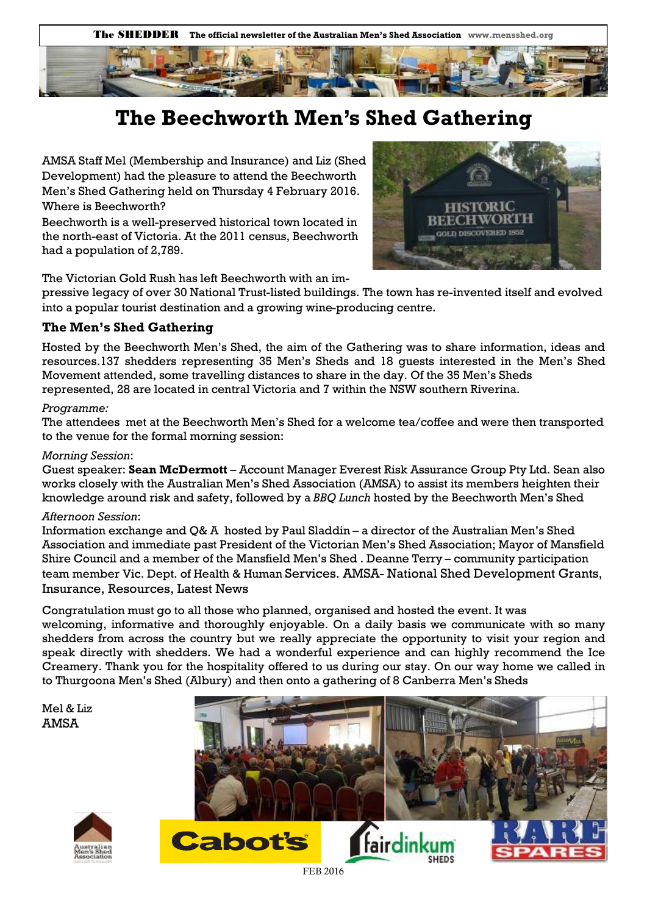The SHEDDER **The official newsletter of the Australian Men's Shed Association www.mensshed.org** 



## **The Beechworth Men's Shed Gathering**

AMSA Staff Mel (Membership and Insurance) and Liz (Shed Development) had the pleasure to attend the Beechworth Men's Shed Gathering held on Thursday 4 February 2016. Where is Beechworth?

Beechworth is a well-preserved historical town located in the north-east of Victoria. At the [2011 census,](https://en.wikipedia.org/wiki/Census_in_Australia#2011) Beechworth had a population of 2,789.



The Victorian Gold Rush has left Beechworth with an im-

pressive legacy of over 30 National Trust-listed buildings. The town has re-invented itself and evolved into a popular tourist destination and a growing wine-producing centre.

#### **The Men's Shed Gathering**

Hosted by the Beechworth Men's Shed, the aim of the Gathering was to share information, ideas and resources.137 shedders representing 35 Men's Sheds and 18 guests interested in the Men's Shed Movement attended, some travelling distances to share in the day. Of the 35 Men's Sheds represented, 28 are located in central Victoria and 7 within the NSW southern Riverina.

#### *Programme:*

The attendees met at the Beechworth Men's Shed for a welcome tea/coffee and were then transported to the venue for the formal morning session:

#### *Morning Session*:

Guest speaker: **Sean McDermott** – Account Manager Everest Risk Assurance Group Pty Ltd. Sean also works closely with the Australian Men's Shed Association (AMSA) to assist its members heighten their knowledge around risk and safety, followed by a *BBQ Lunch* hosted by the Beechworth Men's Shed

#### *Afternoon Session*:

Information exchange and Q& A hosted by Paul Sladdin – a director of the Australian Men's Shed Association and immediate past President of the Victorian Men's Shed Association; Mayor of Mansfield Shire Council and a member of the Mansfield Men's Shed . Deanne Terry – community participation team member Vic. Dept. of Health & Human Services. AMSA- National Shed Development Grants, Insurance, Resources, Latest News

Congratulation must go to all those who planned, organised and hosted the event. It was welcoming, informative and thoroughly enjoyable. On a daily basis we communicate with so many shedders from across the country but we really appreciate the opportunity to visit your region and speak directly with shedders. We had a wonderful experience and can highly recommend the Ice Creamery. Thank you for the hospitality offered to us during our stay. On our way home we called in to Thurgoona Men's Shed (Albury) and then onto a gathering of 8 Canberra Men's Sheds

Mel & Liz AMSA



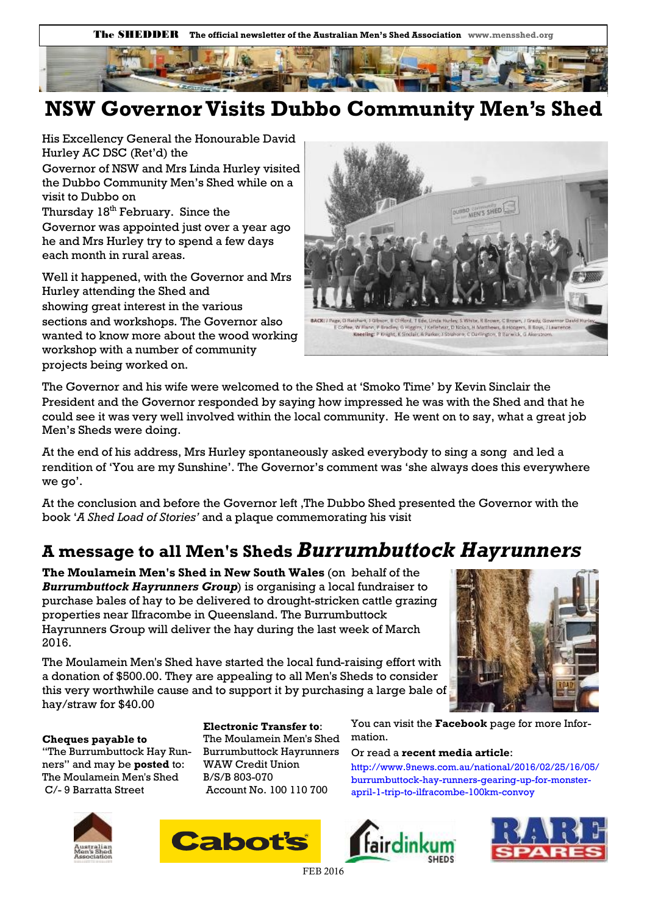



## **NSW Governor Visits Dubbo Community Men's Shed**

His Excellency General the Honourable David Hurley AC DSC (Ret'd) the

Governor of NSW and Mrs Linda Hurley visited the Dubbo Community Men's Shed while on a visit to Dubbo on

Thursday 18<sup>th</sup> February. Since the Governor was appointed just over a year ago he and Mrs Hurley try to spend a few days each month in rural areas.

Well it happened, with the Governor and Mrs Hurley attending the Shed and showing great interest in the various sections and workshops. The Governor also wanted to know more about the wood working workshop with a number of community projects being worked on.



The Governor and his wife were welcomed to the Shed at 'Smoko Time' by Kevin Sinclair the President and the Governor responded by saying how impressed he was with the Shed and that he could see it was very well involved within the local community. He went on to say, what a great job Men's Sheds were doing.

At the end of his address, Mrs Hurley spontaneously asked everybody to sing a song and led a rendition of 'You are my Sunshine'. The Governor's comment was 'she always does this everywhere we go'.

At the conclusion and before the Governor left ,The Dubbo Shed presented the Governor with the book '*A Shed Load of Stories'* and a plaque commemorating his visit

## **A message to all Men's Sheds** *Burrumbuttock Hayrunners*

**The Moulamein Men's Shed in New South Wales** (on behalf of the *Burrumbuttock Hayrunners Group*) is organising a local fundraiser to purchase bales of hay to be delivered to drought-stricken cattle grazing properties near Ilfracombe in Queensland. The Burrumbuttock Hayrunners Group will deliver the hay during the last week of March 2016.

The Moulamein Men's Shed have started the local fund-raising effort with a donation of \$500.00. They are appealing to all Men's Sheds to consider this very worthwhile cause and to support it by purchasing a large bale of hay/straw for \$40.00



**Cheques payable to** 

"The Burrumbuttock Hay Runners" and may be **posted** to: The Moulamein Men's Shed C/- 9 Barratta Street

**Electronic Transfer to**: The Moulamein Men's Shed Burrumbuttock Hayrunners WAW Credit Union B/S/B 803-070 Account No. 100 110 700



Or read a **recent media article**:

http://www.9news.com.au/national/2016/02/25/16/05/ burrumbuttock-hay-runners-gearing-up-for-monsterapril-1-trip-to-ilfracombe-100km-convoy







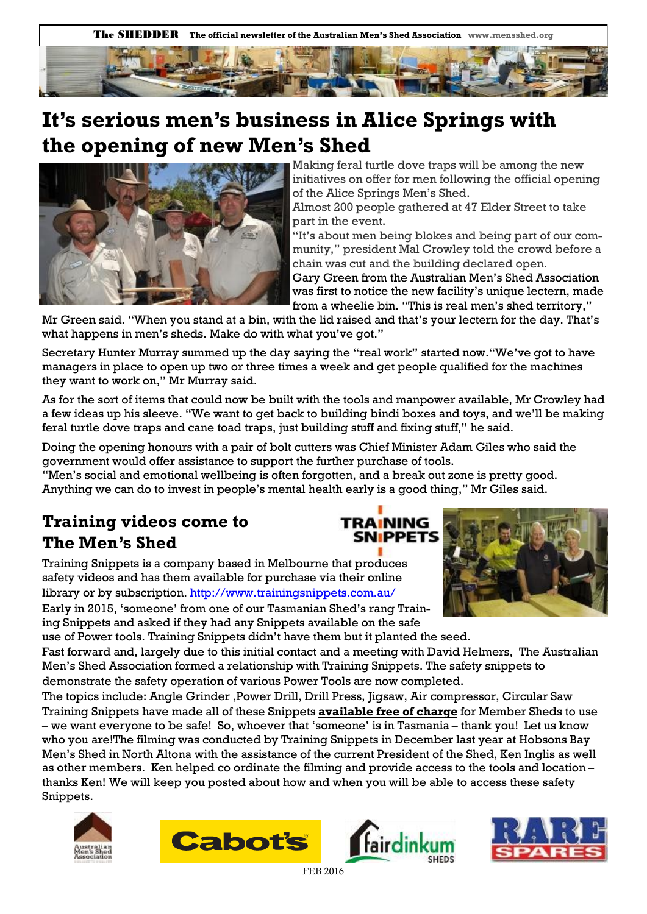The SHEDDER **The official newsletter of the Australian Men's Shed Association www.mensshed.org** 



## **It's serious men's business in Alice Springs with the opening of new Men's Shed**



Making feral turtle dove traps will be among the new initiatives on offer for men following the official opening of the Alice Springs Men's Shed.

Almost 200 people gathered at 47 Elder Street to take part in the event.

"It's about men being blokes and being part of our community," president Mal Crowley told the crowd before a chain was cut and the building declared open.

Gary Green from the Australian Men's Shed Association was first to notice the new facility's unique lectern, made from a wheelie bin. "This is real men's shed territory,"

Mr Green said. "When you stand at a bin, with the lid raised and that's your lectern for the day. That's what happens in men's sheds. Make do with what you've got."

Secretary Hunter Murray summed up the day saying the "real work" started now."We've got to have managers in place to open up two or three times a week and get people qualified for the machines they want to work on," Mr Murray said.

As for the sort of items that could now be built with the tools and manpower available, Mr Crowley had a few ideas up his sleeve. "We want to get back to building bindi boxes and toys, and we'll be making feral turtle dove traps and cane toad traps, just building stuff and fixing stuff," he said.

**TRAINING** 

Doing the opening honours with a pair of bolt cutters was Chief Minister Adam Giles who said the government would offer assistance to support the further purchase of tools.

"Men's social and emotional wellbeing is often forgotten, and a break out zone is pretty good. Anything we can do to invest in people's mental health early is a good thing," Mr Giles said.

## **Training videos come to The Men's Shed**

Training Snippets is a company based in Melbourne that produces safety videos and has them available for purchase via their online library or by subscription.<http://www.trainingsnippets.com.au/> Early in 2015, 'someone' from one of our Tasmanian Shed's rang Train-





Fast forward and, largely due to this initial contact and a meeting with David Helmers, The Australian Men's Shed Association formed a relationship with Training Snippets. The safety snippets to demonstrate the safety operation of various Power Tools are now completed.

The topics include: Angle Grinder ,Power Drill, Drill Press, Jigsaw, Air compressor, Circular Saw Training Snippets have made all of these Snippets **available free of charge** for Member Sheds to use – we want everyone to be safe! So, whoever that 'someone' is in Tasmania – thank you! Let us know who you are!The filming was conducted by Training Snippets in December last year at Hobsons Bay Men's Shed in North Altona with the assistance of the current President of the Shed, Ken Inglis as well as other members. Ken helped co ordinate the filming and provide access to the tools and location – thanks Ken! We will keep you posted about how and when you will be able to access these safety Snippets.







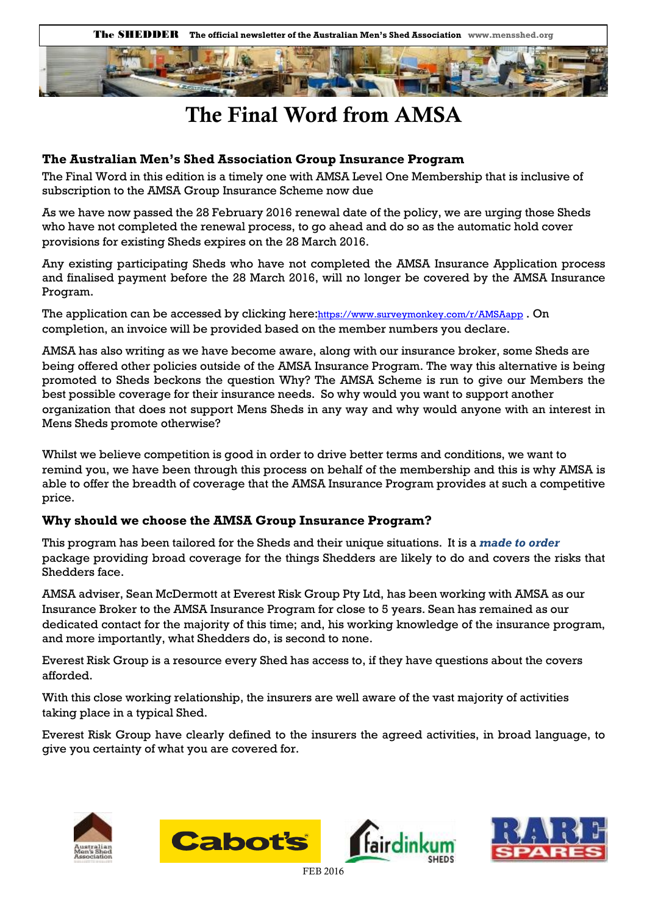



## **The Final Word from AMSA**

#### **The Australian Men's Shed Association Group Insurance Program**

The Final Word in this edition is a timely one with AMSA Level One Membership that is inclusive of subscription to the AMSA Group Insurance Scheme now due

As we have now passed the 28 February 2016 renewal date of the policy, we are urging those Sheds who have not completed the renewal process, to go ahead and do so as the automatic hold cover provisions for existing Sheds expires on the 28 March 2016.

Any existing participating Sheds who have not completed the AMSA Insurance Application process and finalised payment before the 28 March 2016, will no longer be covered by the AMSA Insurance Program.

The application can be accessed by clicking here: <https://www.surveymonkey.com/r/AMSAapp>. On completion, an invoice will be provided based on the member numbers you declare.

AMSA has also writing as we have become aware, along with our insurance broker, some Sheds are being offered other policies outside of the AMSA Insurance Program. The way this alternative is being promoted to Sheds beckons the question Why? The AMSA Scheme is run to give our Members the best possible coverage for their insurance needs. So why would you want to support another organization that does not support Mens Sheds in any way and why would anyone with an interest in Mens Sheds promote otherwise?

Whilst we believe competition is good in order to drive better terms and conditions, we want to remind you, we have been through this process on behalf of the membership and this is why AMSA is able to offer the breadth of coverage that the AMSA Insurance Program provides at such a competitive price.

#### **Why should we choose the AMSA Group Insurance Program?**

This program has been tailored for the Sheds and their unique situations. It is a *made to order*  package providing broad coverage for the things Shedders are likely to do and covers the risks that Shedders face.

AMSA adviser, Sean McDermott at Everest Risk Group Pty Ltd, has been working with AMSA as our Insurance Broker to the AMSA Insurance Program for close to 5 years. Sean has remained as our dedicated contact for the majority of this time; and, his working knowledge of the insurance program, and more importantly, what Shedders do, is second to none.

Everest Risk Group is a resource every Shed has access to, if they have questions about the covers afforded.

With this close working relationship, the insurers are well aware of the vast majority of activities taking place in a typical Shed.

Everest Risk Group have clearly defined to the insurers the agreed activities, in broad language, to give you certainty of what you are covered for.







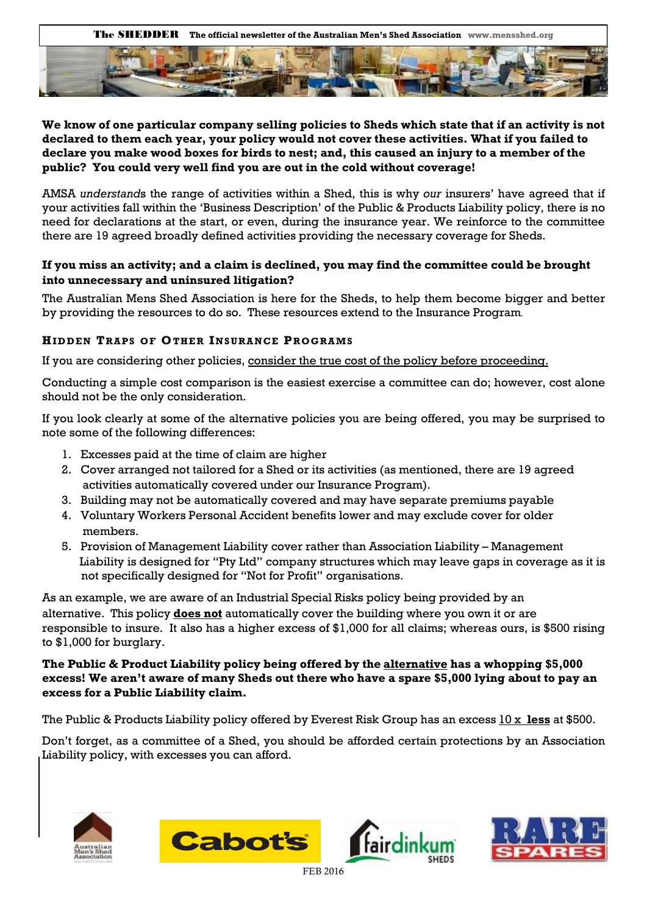

#### **We know of one particular company selling policies to Sheds which state that if an activity is not declared to them each year, your policy would not cover these activities. What if you failed to declare you make wood boxes for birds to nest; and, this caused an injury to a member of the public? You could very well find you are out in the cold without coverage!**

AMSA *understand*s the range of activities within a Shed, this is why *our* insurers' have agreed that if your activities fall within the 'Business Description' of the Public & Products Liability policy, there is no need for declarations at the start, or even, during the insurance year. We reinforce to the committee there are 19 agreed broadly defined activities providing the necessary coverage for Sheds.

#### **If you miss an activity; and a claim is declined, you may find the committee could be brought into unnecessary and uninsured litigation?**

The Australian Mens Shed Association is here for the Sheds, to help them become bigger and better by providing the resources to do so. These resources extend to the Insurance Program.

#### **HID D E N T RA P S OF OTHE R IN S U RA N C E PR OG RA MS**

If you are considering other policies, consider the true cost of the policy before proceeding.

Conducting a simple cost comparison is the easiest exercise a committee can do; however, cost alone should not be the only consideration.

If you look clearly at some of the alternative policies you are being offered, you may be surprised to note some of the following differences:

- 1. Excesses paid at the time of claim are higher
- 2. Cover arranged not tailored for a Shed or its activities (as mentioned, there are 19 agreed activities automatically covered under our Insurance Program).
- 3. Building may not be automatically covered and may have separate premiums payable
- 4. Voluntary Workers Personal Accident benefits lower and may exclude cover for older members.
- 5. Provision of Management Liability cover rather than Association Liability Management Liability is designed for "Pty Ltd" company structures which may leave gaps in coverage as it is not specifically designed for "Not for Profit" organisations.

As an example, we are aware of an Industrial Special Risks policy being provided by an alternative. This policy **does not** automatically cover the building where you own it or are responsible to insure. It also has a higher excess of \$1,000 for all claims; whereas ours, is \$500 rising to \$1,000 for burglary.

#### **The Public & Product Liability policy being offered by the alternative has a whopping \$5,000 excess! We aren't aware of many Sheds out there who have a spare \$5,000 lying about to pay an excess for a Public Liability claim.**

The Public & Products Liability policy offered by Everest Risk Group has an excess 10 x **less** at \$500.

Don't forget, as a committee of a Shed, you should be afforded certain protections by an Association Liability policy, with excesses you can afford.







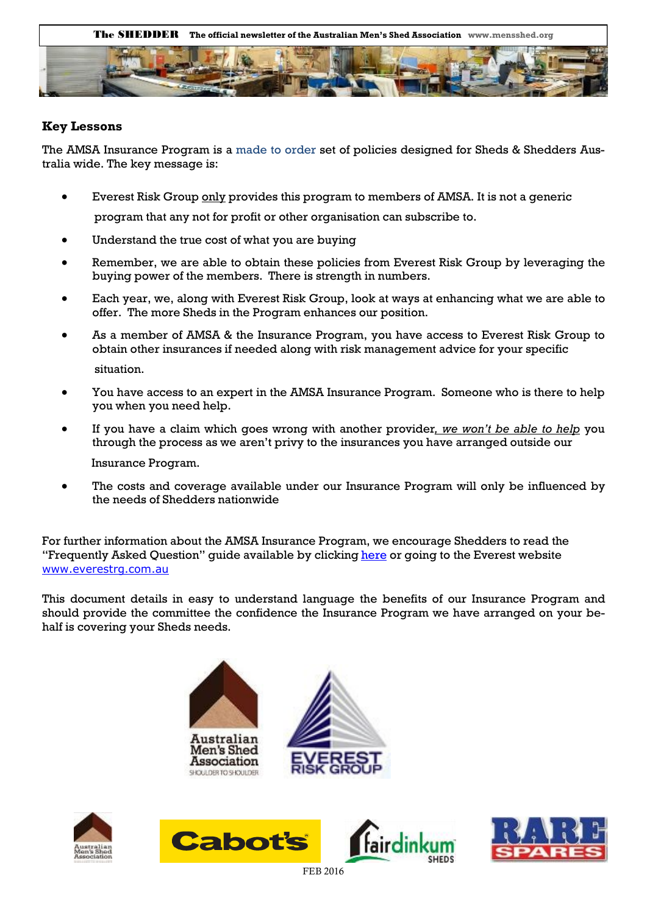

#### **Key Lessons**

The AMSA Insurance Program is a made to order set of policies designed for Sheds & Shedders Australia wide. The key message is:

- Everest Risk Group only provides this program to members of AMSA. It is not a generic program that any not for profit or other organisation can subscribe to.
- Understand the true cost of what you are buying
- Remember, we are able to obtain these policies from Everest Risk Group by leveraging the buying power of the members. There is strength in numbers.
- Each year, we, along with Everest Risk Group, look at ways at enhancing what we are able to offer. The more Sheds in the Program enhances our position.
- As a member of AMSA & the Insurance Program, you have access to Everest Risk Group to obtain other insurances if needed along with risk management advice for your specific situation.
- You have access to an expert in the AMSA Insurance Program. Someone who is there to help you when you need help.
- If you have a claim which goes wrong with another provider*, we won't be able to help* you through the process as we aren't privy to the insurances you have arranged outside our Insurance Program.

 The costs and coverage available under our Insurance Program will only be influenced by the needs of Shedders nationwide

For further information about the AMSA Insurance Program, we encourage Shedders to read the "Frequently Asked Question" quide available by clicking [here o](http://everestrg.com.au/wp-content/uploads/2016/01/ERG-Frequently-Asked-Questions-V2.0.pdf)r going to the Everest website [www.everestrg.com.au](http://www.everestrg.com.au/)

This document details in easy to understand language the benefits of our Insurance Program and should provide the committee the confidence the Insurance Program we have arranged on your behalf is covering your Sheds needs.